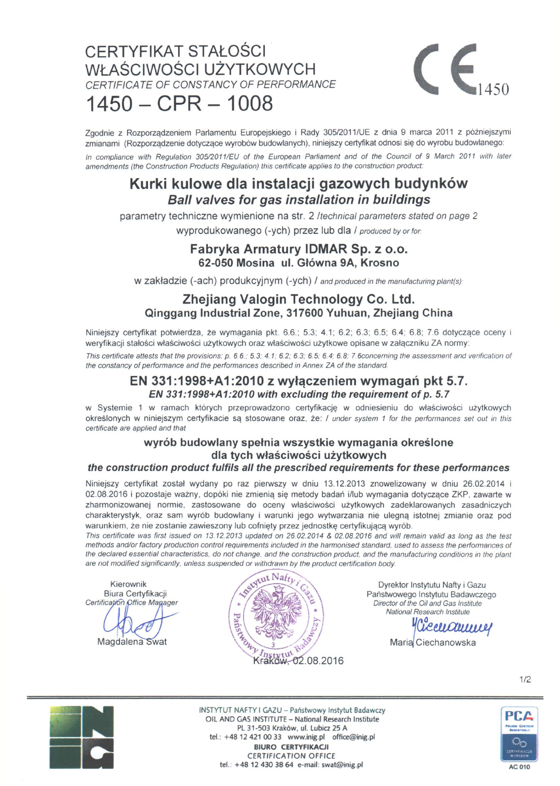# CERTYFIKAT STAŁOŚCI WŁAŚCIWOŚCI UŻYTKOWYCH *CERTIFICATE OF CONSTANCY OF PERFORMANCE*   $1450 - CPR - 1008$



Zgodnie z Rozporządzeniem Parlamentu Europejskiego i Rady 305/2011/UE z dnia 9 marca 2011 z późniejszymi zmianami (Rozporządzenie dotyczące wyrobów budowlanych), niniejszy certyfikat odnosi się do wyrobu budowlanego:

*In compliance with Regulation 305/2011/EU of the European Parliament and of the Council of* **9** *March 2011 with later amendments (the Construction Products Regulation) this certificate applies to the construction product:* 

## **Kurki kulowe dla instalacji gazowych budynków**  *Bali valves for gas installation in buildings*

parametry techniczne wymienione na str. 2 *Itechnical parameters stated on page 2* 

wyprodukowanego (-ych) przez lub dla / *produced by or for.* 

### **Fabryka Armatury IDMAR Sp. z o.o. 62-050 Mosina ul. Główna 9A, Krosno**

**W** zakładzie (-ach) produkcyjnym (-ych) / and produced in the manufacturing plant(s):

### **Zhejiang Valogin Technology Co. Ltd. Oinggang Industrial Zone, 317600 Yuhuan, Zhejiang China**

Niniejszy certyfikat potwierdza, że wymagania pkt. 6.6.; 5.3; 4.1; 6.2; 6.3; 6.5; 6.4; 6.8; 7.6 dotyczące oceny i weryfikacji stałości właściwości użytkowych oraz właściwości użytkowe opisane w załączniku ZA normy:

*This certificate attests that the provisions: p. 6.6.; 5.3; 4.1; 6.2; 6.3; 6.5; 6.4; 6.8; 7.6concerning the assessment and verification of the constancy of performance and the performances described in Annex ZA of the standard.* 

### **EN 331:1998+A1:2010 z wyłączeniem wymagań pkt 5.7.** *EN 331:1998+A1:2010 with excluding the requirement of p. 5.7*

w Systemie 1 w ramach których przeprowadzono certyfikację w odniesieniu do właściwości użytkowych określonych w niniejszym certyfikacie są stosowane oraz, że: / under system 1 for the performances set out in this *certificate are applied and that* 

#### **wyrób budowlany spełnia wszystkie wymagania określone dla tych właściwości użytkowych**

#### *the construction product fulfils all the prescribed requirements for these performances*

Niniejszy certyfikat został wydany po raz pierwszy w dniu 13.12.2013 znowelizowany w dniu 26.02.2014 i 02.08.2016 i pozostaje ważny, dopóki nie zmienią się metody badań i/lub wymagania dotyczące ZKP, zawarte w zharmonizowanej normie, zastosowane do oceny właściwości użytkowych zadeklarowanych zasadniczych charakterystyk, oraz sam wyrób budowlany i warunki jego wytwarzania nie ulegną istotnej zmianie oraz pod warunkiem, że nie zostanie zawieszony lub cofnięty przez jednostkę certyfikującą wyrób.

*This certificate was first issued on 13.12.2013 updated on 26.02.2014 & 02.08.2016 and will remain valid as long as the test methods and/or factory production control requirements included in the harmonised standard, used to assess the performances of*  the declared essential characteristics, do not change, and the construction product, and the manufacturing conditions in the plant

Kierownik Biura Certyfikacji *Certifica(i6h /pffice Manager* 

Magdalena Swat



Dyrektor Instytutu Nafty i Gazu Państwowego Instytutu Badawczego *Director of the Oil and Gas Institute National Research Institute* 

*yCkeiUZiutjuJł/*  Maria Ciechanowska

**INSTYTUT NAFTY I GAZU - Państwowy Instytut Badawczy OIL AND GAS INSTITUTE - National Research Institute** PL 31-503 Kraków, ul. Lubicz 25 A **tel.: +48 12 421 00 33 [www.inig.pl](http://www.inig.pl) [office@inig.pl](mailto:office@inig.pl) BIURO CERTYFIKACJI CERTIFICATION OFFICE tel.: +48 12 430 38 64 e-mail: [swat@inig.pl](mailto:swat@inig.pl) AC 010** 



PCA ane Card ್ಯ